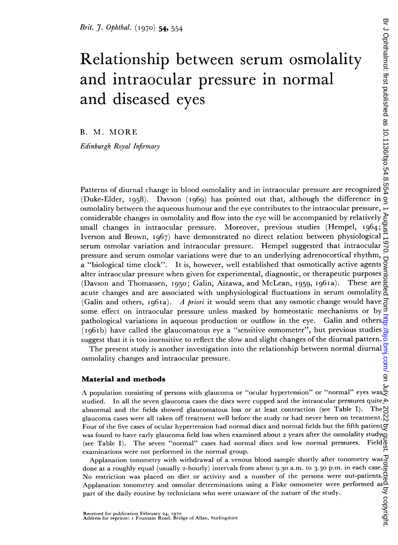# Relationship between serum osmolality and intraocular pressure in normal and diseased eyes Brit. J. Ophthal. (1970) 54, 554<br>
Relationship between serum osmolality<br>
and intraocular pressure in normal<br>
and diseased eyes<br>
B. M. MORE<br>
Edinburgh Royal Infirmary<br>
Patterns of diurnal change in blood osmolality and in

B. M. MORE

Edinburgh Royal Infirmary

(Duke-Elder, 1958). Davson (1969) has pointed out that, although the difference in  $\overline{Q}$ osmolality between the aqueous humour and the eye contributes to the intraocular pressure, considerable changes in osmolality and flow into the eye will be accompanied by relatively small changes in intraocular pressure. Moreover, previous studies (Hempel, I964; Iverson and Brown, i967) have demonstrated no direct relation between physiological serum osmolar variation and intraocular pressure. Hempel suggested that intraocular pressure and serum osmolar variations were due to an underlying adrenocortical rhythm, a "biological time clock". It is, however, well established that osmotically active agents  $\overline{9}$ alter intraocular pressure when given for experimental, diagnostic, or therapeutic purposes (Davson and Thomassen, I950; Galin, Aizawa, and McLean, I959, i96ia). These are acute changes and are associated with unphysiological fluctuations in serum osmolality & (Galin and others, 1961a). A priori it would seem that any osmotic change would have some effect on intraocular pressure unless masked by homeostatic mechanisms or by pathological variations in aqueous production or outflow in the eye. Galin and others (ig6Ib) have called the glaucomatous eye a "sensitive osmometer", but previous studies suggest that it is too insensitive to reflect the slow and slight changes of the diurnal pattern.

The present study is another investigation into the relationship between normal diurnal osmolality changes and intraocular pressure.  $\begin{array}{c} \text{osmolality changes and intraocular pressure.} \\ \text{Material and methods} \end{array}$ <br>A population consisting of persons with glaucoma or "ocular hypertension" or "normal" eyes was

#### Material and methods

studied. In all the seven glaucoma cases the discs were cupped and the intraocular pressures quite abnormal and the fields showed glaucomatous loss or at least contraction (see Table I). The glaucoma cases were all taken off treatment well before the study or had never been on treatment. Four of the five cases of ocular hypertension had normal discs and normal fields but the fifth patient  $g$ was found to have early glaucoma field loss when examined about 2 years after the osmolality study $\tilde{G}$ (see Table I). The seven "normal" cases had normal discs and low normal pressures. Field $\overline{\delta}$ examinations were not performed in the normal group.

Applanation tonometry with withdrawal of a venous blood sample shortly after tonometry was done at a roughly equal (usually 2-hourly) intervals from about 9.30 a.m. to 3.30 p.m. in each case. No restriction was placed on diet or activity and a number of the persons were out-patients. Applanation tonometry and osmolar determinations using a Fiske osmometer were performed as part of the daily routine by technicians who were unaware of the nature of the study.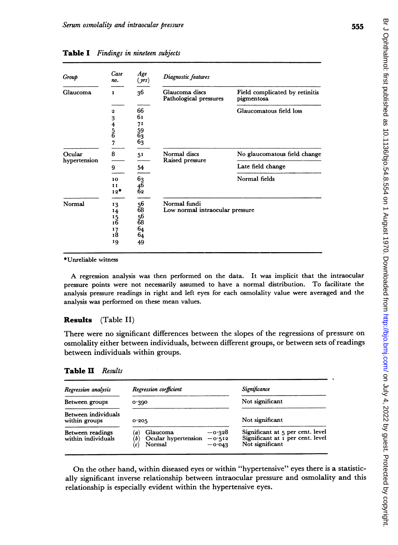| ۰.<br>×<br>. .<br>. .<br>$\sim$ |
|---------------------------------|
|---------------------------------|

| Group                  | Case<br>no.<br>$\mathbf{I}$ | Age<br>(yrs)<br>36 | Diagnostic features                             |                                              |
|------------------------|-----------------------------|--------------------|-------------------------------------------------|----------------------------------------------|
| Glaucoma               |                             |                    | Glaucoma discs<br>Pathological pressures        | Field complicated by retinitis<br>pigmentosa |
|                        | $\boldsymbol{2}$            | 66                 |                                                 | Glaucomatous field loss                      |
|                        | 3                           | 61                 |                                                 |                                              |
|                        |                             | 71                 |                                                 |                                              |
|                        | $\frac{4}{5}$               | 59                 |                                                 |                                              |
|                        |                             | $\bar{6}_3$        |                                                 |                                              |
|                        | 7                           | 63                 |                                                 |                                              |
| Ocular<br>hypertension | 8                           | 51                 | Normal discs<br>Raised pressure                 | No glaucomatous field change                 |
|                        | 9                           | 54                 |                                                 | Late field change                            |
|                        | 10                          | 63                 |                                                 | Normal fields                                |
|                        | 11                          | $^{46}_{62}$       |                                                 |                                              |
|                        | $12*$                       |                    |                                                 |                                              |
| Normal                 | 13                          | 56                 | Normal fundi<br>Low normal intraocular pressure |                                              |
|                        | 14                          | 68                 |                                                 |                                              |
|                        | 15                          | 56                 |                                                 |                                              |
|                        | 1Ğ                          | 68                 |                                                 |                                              |
|                        | 17                          | 64                 |                                                 |                                              |
|                        | 18                          | 64                 |                                                 |                                              |
|                        | 19                          | 49                 |                                                 |                                              |
| *Unreliable witness    |                             |                    |                                                 |                                              |

Table I Fin

Results (Table II)

There were no significant differences between the slopes of the regressions of pressure on osmolality either between individuals, between different groups, or between sets of readings between individuals within groups.

#### Table II Results

| Regression analysis                    | Regression coefficient                                                                            | Significance<br>Not significant<br>Not significant                                      |  |
|----------------------------------------|---------------------------------------------------------------------------------------------------|-----------------------------------------------------------------------------------------|--|
| Between groups                         | 0.390                                                                                             |                                                                                         |  |
| Between individuals<br>within groups   | 0.205                                                                                             |                                                                                         |  |
| Between readings<br>within individuals | $-0.328$<br>Glaucoma<br>a)<br>Ocular hypertension<br>$-0.512$<br>(b)<br>Normal<br>$-0.043$<br>(c) | Significant at 5 per cent. level<br>Significant at 1 per cent. level<br>Not significant |  |

On the other hand, within diseased eyes or within "'hypertensive" eyes there is a statistically significant inverse relationship between intraocular pressure and osmolality and this relationship is especially evident within the hypertensive eyes.